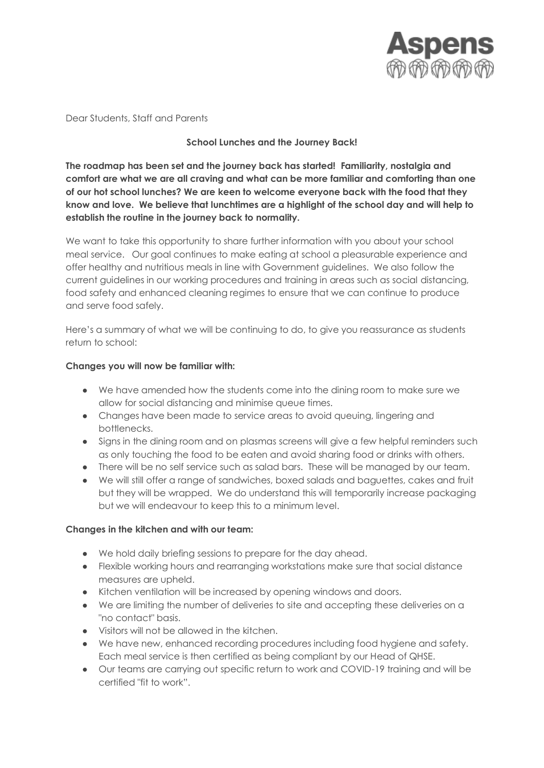

Dear Students, Staff and Parents

## **School Lunches and the Journey Back!**

**The roadmap has been set and the journey back has started! Familiarity, nostalgia and comfort are what we are all craving and what can be more familiar and comforting than one of our hot school lunches? We are keen to welcome everyone back with the food that they know and love. We believe that lunchtimes are a highlight of the school day and will help to establish the routine in the journey back to normality.** 

We want to take this opportunity to share further information with you about your school meal service. Our goal continues to make eating at school a pleasurable experience and offer healthy and nutritious meals in line with Government guidelines. We also follow the current guidelines in our working procedures and training in areas such as social distancing, food safety and enhanced cleaning regimes to ensure that we can continue to produce and serve food safely.

Here's a summary of what we will be continuing to do, to give you reassurance as students return to school:

## **Changes you will now be familiar with:**

- We have amended how the students come into the dining room to make sure we allow for social distancing and minimise queue times.
- Changes have been made to service areas to avoid queuing, lingering and bottlenecks.
- Signs in the dining room and on plasmas screens will give a few helpful reminders such as only touching the food to be eaten and avoid sharing food or drinks with others.
- There will be no self service such as salad bars. These will be managed by our team.
- We will still offer a range of sandwiches, boxed salads and baguettes, cakes and fruit but they will be wrapped. We do understand this will temporarily increase packaging but we will endeavour to keep this to a minimum level.

## **Changes in the kitchen and with our team:**

- We hold daily briefing sessions to prepare for the day ahead.
- Flexible working hours and rearranging workstations make sure that social distance measures are upheld.
- Kitchen ventilation will be increased by opening windows and doors.
- We are limiting the number of deliveries to site and accepting these deliveries on a "no contact" basis.
- Visitors will not be allowed in the kitchen.
- We have new, enhanced recording procedures including food hygiene and safety. Each meal service is then certified as being compliant by our Head of QHSE.
- Our teams are carrying out specific return to work and COVID-19 training and will be certified "fit to work".